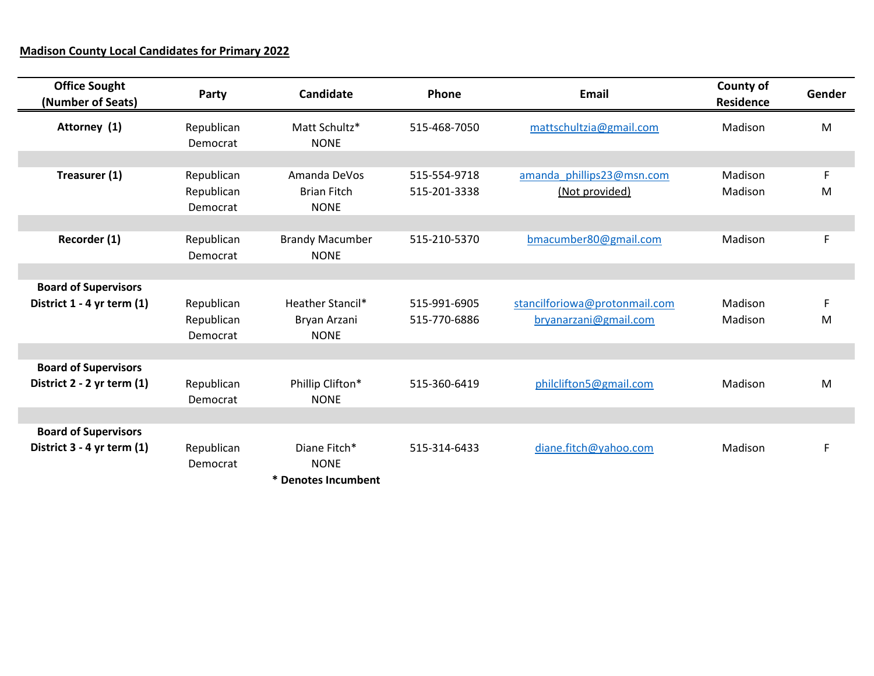## **Madison County Local Candidates for Primary 2022**

| <b>Office Sought</b><br>(Number of Seats)                 | Party                                | <b>Candidate</b>                                       | Phone                        | Email                                                  | County of<br>Residence | Gender |
|-----------------------------------------------------------|--------------------------------------|--------------------------------------------------------|------------------------------|--------------------------------------------------------|------------------------|--------|
| Attorney (1)                                              | Republican<br>Democrat               | Matt Schultz*<br><b>NONE</b>                           | 515-468-7050                 | mattschultzia@gmail.com                                | Madison                | M      |
| Treasurer (1)                                             | Republican<br>Republican<br>Democrat | Amanda DeVos<br><b>Brian Fitch</b><br><b>NONE</b>      | 515-554-9718<br>515-201-3338 | amanda phillips23@msn.com<br>(Not provided)            | Madison<br>Madison     | F<br>M |
| Recorder (1)                                              | Republican<br>Democrat               | <b>Brandy Macumber</b><br><b>NONE</b>                  | 515-210-5370                 | bmacumber80@gmail.com                                  | Madison                | F      |
| <b>Board of Supervisors</b><br>District 1 - 4 yr term (1) | Republican<br>Republican<br>Democrat | <b>Heather Stancil*</b><br>Bryan Arzani<br><b>NONE</b> | 515-991-6905<br>515-770-6886 | stancilforiowa@protonmail.com<br>bryanarzani@gmail.com | Madison<br>Madison     | F<br>M |
| <b>Board of Supervisors</b><br>District 2 - 2 yr term (1) | Republican<br>Democrat               | Phillip Clifton*<br><b>NONE</b>                        | 515-360-6419                 | philclifton5@gmail.com                                 | Madison                | M      |
| <b>Board of Supervisors</b><br>District 3 - 4 yr term (1) | Republican<br>Democrat               | Diane Fitch*<br><b>NONE</b><br>* Denotes Incumbent     | 515-314-6433                 | diane.fitch@yahoo.com                                  | Madison                | F      |